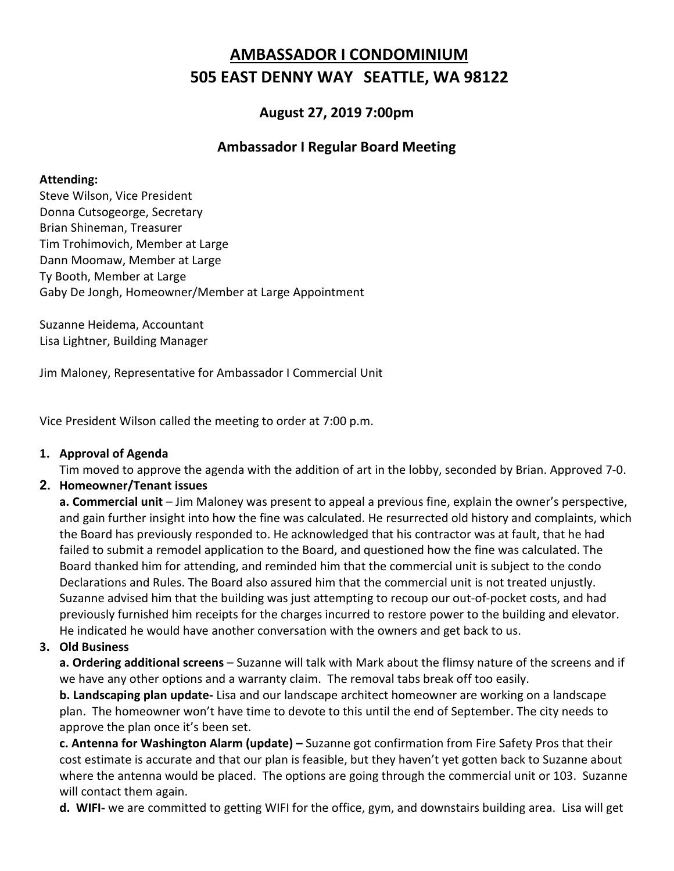# **AMBASSADOR I CONDOMINIUM 505 EAST DENNY WAY SEATTLE, WA 98122**

## **August 27, 2019 7:00pm**

## **Ambassador I Regular Board Meeting**

#### **Attending:**

Steve Wilson, Vice President Donna Cutsogeorge, Secretary Brian Shineman, Treasurer Tim Trohimovich, Member at Large Dann Moomaw, Member at Large Ty Booth, Member at Large Gaby De Jongh, Homeowner/Member at Large Appointment

Suzanne Heidema, Accountant Lisa Lightner, Building Manager

Jim Maloney, Representative for Ambassador I Commercial Unit

Vice President Wilson called the meeting to order at 7:00 p.m.

#### **1. Approval of Agenda**

Tim moved to approve the agenda with the addition of art in the lobby, seconded by Brian. Approved 7-0.

#### **2. Homeowner/Tenant issues**

**a. Commercial unit** – Jim Maloney was present to appeal a previous fine, explain the owner's perspective, and gain further insight into how the fine was calculated. He resurrected old history and complaints, which the Board has previously responded to. He acknowledged that his contractor was at fault, that he had failed to submit a remodel application to the Board, and questioned how the fine was calculated. The Board thanked him for attending, and reminded him that the commercial unit is subject to the condo Declarations and Rules. The Board also assured him that the commercial unit is not treated unjustly. Suzanne advised him that the building was just attempting to recoup our out-of-pocket costs, and had previously furnished him receipts for the charges incurred to restore power to the building and elevator. He indicated he would have another conversation with the owners and get back to us.

#### **3. Old Business**

**a. Ordering additional screens** – Suzanne will talk with Mark about the flimsy nature of the screens and if we have any other options and a warranty claim. The removal tabs break off too easily.

**b. Landscaping plan update-** Lisa and our landscape architect homeowner are working on a landscape plan. The homeowner won't have time to devote to this until the end of September. The city needs to approve the plan once it's been set.

**c. Antenna for Washington Alarm (update) –** Suzanne got confirmation from Fire Safety Pros that their cost estimate is accurate and that our plan is feasible, but they haven't yet gotten back to Suzanne about where the antenna would be placed. The options are going through the commercial unit or 103. Suzanne will contact them again.

**d. WIFI-** we are committed to getting WIFI for the office, gym, and downstairs building area. Lisa will get